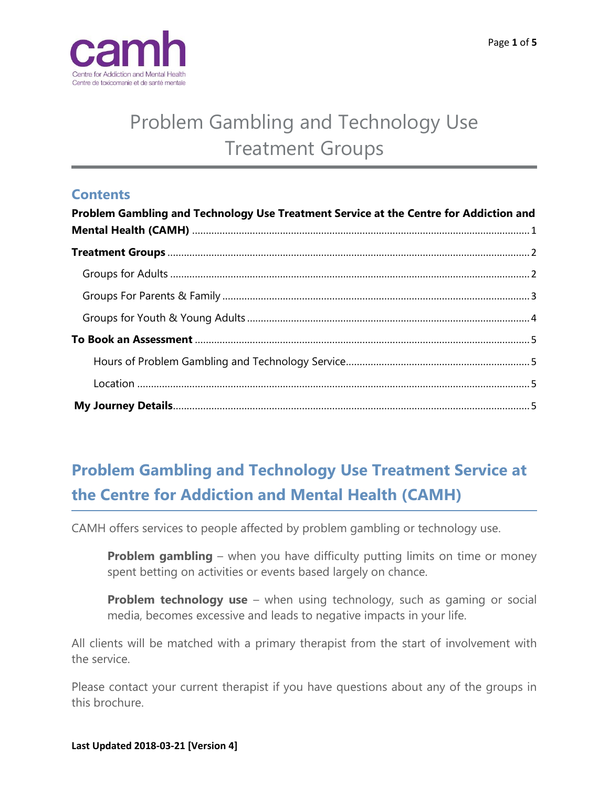

# Problem Gambling and Technology Use Treatment Groups

## **Contents**

| Problem Gambling and Technology Use Treatment Service at the Centre for Addiction and |  |
|---------------------------------------------------------------------------------------|--|
|                                                                                       |  |
|                                                                                       |  |
|                                                                                       |  |
|                                                                                       |  |
|                                                                                       |  |
|                                                                                       |  |
|                                                                                       |  |
|                                                                                       |  |

## <span id="page-0-0"></span>**Problem Gambling and Technology Use Treatment Service at the Centre for Addiction and Mental Health (CAMH)**

CAMH offers services to people affected by problem gambling or technology use.

**Problem gambling** – when you have difficulty putting limits on time or money spent betting on activities or events based largely on chance.

**Problem technology use** – when using technology, such as gaming or social media, becomes excessive and leads to negative impacts in your life.

All clients will be matched with a primary therapist from the start of involvement with the service.

Please contact your current therapist if you have questions about any of the groups in this brochure.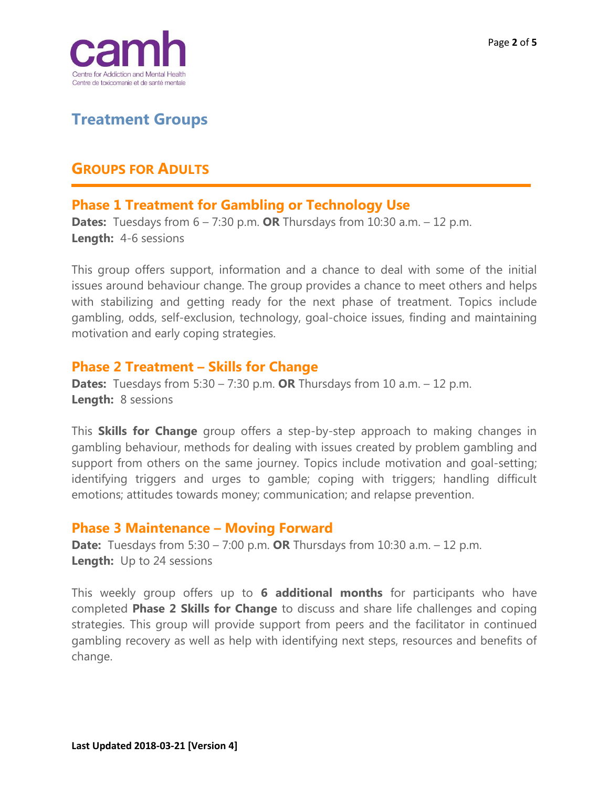

## <span id="page-1-0"></span>**Treatment Groups**

## <span id="page-1-1"></span>**GROUPS FOR ADULTS**

## **Phase 1 Treatment for Gambling or Technology Use**

**Dates:** Tuesdays from 6 – 7:30 p.m. **OR** Thursdays from 10:30 a.m. – 12 p.m. **Length:** 4-6 sessions

This group offers support, information and a chance to deal with some of the initial issues around behaviour change. The group provides a chance to meet others and helps with stabilizing and getting ready for the next phase of treatment. Topics include gambling, odds, self-exclusion, technology, goal-choice issues, finding and maintaining motivation and early coping strategies.

### **Phase 2 Treatment – Skills for Change**

**Dates:** Tuesdays from 5:30 – 7:30 p.m. **OR** Thursdays from 10 a.m. – 12 p.m. **Length:** 8 sessions

This **Skills for Change** group offers a step-by-step approach to making changes in gambling behaviour, methods for dealing with issues created by problem gambling and support from others on the same journey. Topics include motivation and goal-setting; identifying triggers and urges to gamble; coping with triggers; handling difficult emotions; attitudes towards money; communication; and relapse prevention.

### **Phase 3 Maintenance – Moving Forward**

**Date:** Tuesdays from 5:30 – 7:00 p.m. **OR** Thursdays from 10:30 a.m. – 12 p.m. **Length:** Up to 24 sessions

This weekly group offers up to **6 additional months** for participants who have completed **Phase 2 Skills for Change** to discuss and share life challenges and coping strategies. This group will provide support from peers and the facilitator in continued gambling recovery as well as help with identifying next steps, resources and benefits of change.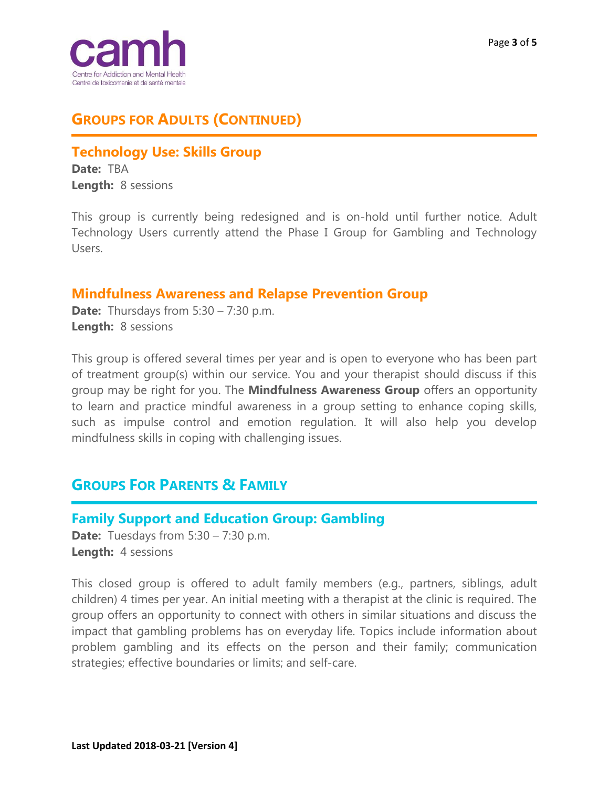

## **GROUPS FOR ADULTS (CONTINUED)**

## **Technology Use: Skills Group**

**Date:** TBA **Length:** 8 sessions

This group is currently being redesigned and is on-hold until further notice. Adult Technology Users currently attend the Phase I Group for Gambling and Technology Users.

### **Mindfulness Awareness and Relapse Prevention Group**

**Date:** Thursdays from 5:30 – 7:30 p.m. **Length:** 8 sessions

This group is offered several times per year and is open to everyone who has been part of treatment group(s) within our service. You and your therapist should discuss if this group may be right for you. The **Mindfulness Awareness Group** offers an opportunity to learn and practice mindful awareness in a group setting to enhance coping skills, such as impulse control and emotion regulation. It will also help you develop mindfulness skills in coping with challenging issues.

## <span id="page-2-0"></span>**GROUPS FOR PARENTS & FAMILY**

### **Family Support and Education Group: Gambling**

**Date:** Tuesdays from 5:30 – 7:30 p.m. **Length:** 4 sessions

This closed group is offered to adult family members (e.g., partners, siblings, adult children) 4 times per year. An initial meeting with a therapist at the clinic is required. The group offers an opportunity to connect with others in similar situations and discuss the impact that gambling problems has on everyday life. Topics include information about problem gambling and its effects on the person and their family; communication strategies; effective boundaries or limits; and self-care.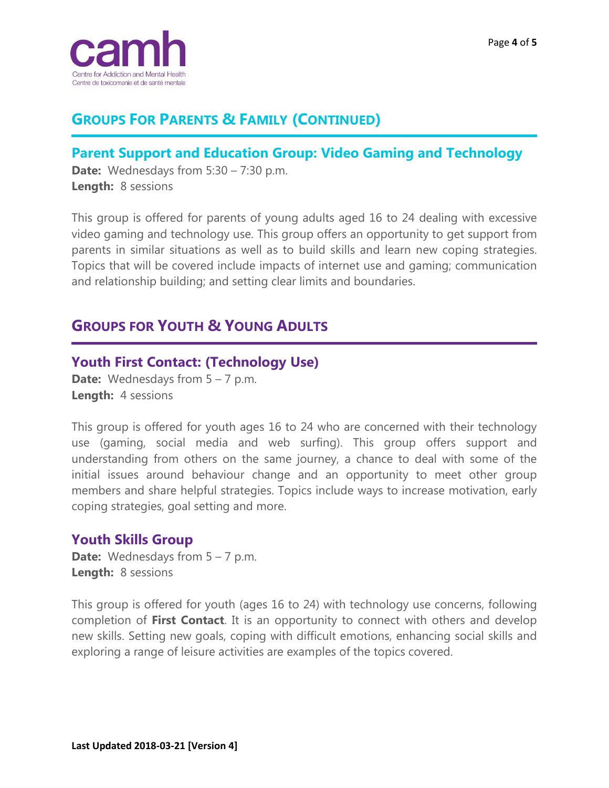

## **GROUPS FOR PARENTS & FAMILY (CONTINUED)**

## **Parent Support and Education Group: Video Gaming and Technology**

**Date:** Wednesdays from 5:30 – 7:30 p.m. **Length:** 8 sessions

This group is offered for parents of young adults aged 16 to 24 dealing with excessive video gaming and technology use. This group offers an opportunity to get support from parents in similar situations as well as to build skills and learn new coping strategies. Topics that will be covered include impacts of internet use and gaming; communication and relationship building; and setting clear limits and boundaries.

## <span id="page-3-0"></span>**GROUPS FOR YOUTH & YOUNG ADULTS**

## **Youth First Contact: (Technology Use)**

**Date:** Wednesdays from 5 – 7 p.m. **Length:** 4 sessions

This group is offered for youth ages 16 to 24 who are concerned with their technology use (gaming, social media and web surfing). This group offers support and understanding from others on the same journey, a chance to deal with some of the initial issues around behaviour change and an opportunity to meet other group members and share helpful strategies. Topics include ways to increase motivation, early coping strategies, goal setting and more.

### **Youth Skills Group**

**Date:** Wednesdays from 5 – 7 p.m. **Length:** 8 sessions

This group is offered for youth (ages 16 to 24) with technology use concerns, following completion of **First Contact**. It is an opportunity to connect with others and develop new skills. Setting new goals, coping with difficult emotions, enhancing social skills and exploring a range of leisure activities are examples of the topics covered.